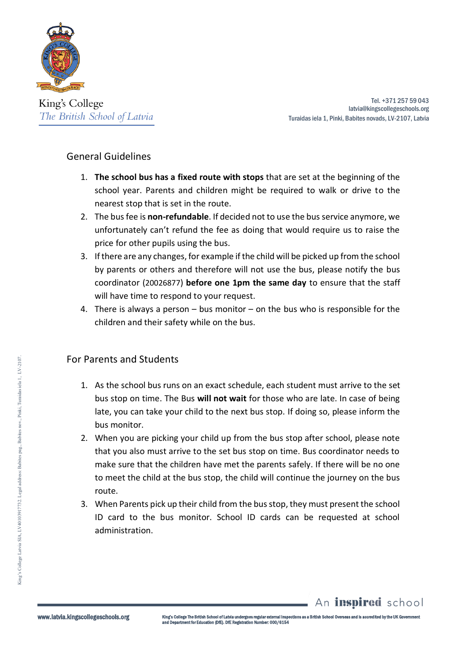

King's College The British School of Latvia

Tel. +371 257 59 043 latvia@kingscollegeschools.org Turaidas iela 1, Pinki, Babites novads, LV-2107, Latvia

## General Guidelines

- 1. **The school bus has a fixed route with stops** that are set at the beginning of the school year. Parents and children might be required to walk or drive to the nearest stop that is set in the route.
- 2. The bus fee is **non-refundable**. If decided not to use the bus service anymore, we unfortunately can't refund the fee as doing that would require us to raise the price for other pupils using the bus.
- 3. If there are any changes, for example if the child will be picked up from the school by parents or others and therefore will not use the bus, please notify the bus coordinator (20026877) **before one 1pm the same day** to ensure that the staff will have time to respond to your request.
- 4. There is always a person bus monitor on the bus who is responsible for the children and their safety while on the bus.

## For Parents and Students

- 1. As the school bus runs on an exact schedule, each student must arrive to the set bus stop on time. The Bus **will not wait** for those who are late. In case of being late, you can take your child to the next bus stop. If doing so, please inform the bus monitor.
- 2. When you are picking your child up from the bus stop after school, please note that you also must arrive to the set bus stop on time. Bus coordinator needs to make sure that the children have met the parents safely. If there will be no one to meet the child at the bus stop, the child will continue the journey on the bus route.
- 3. When Parents pick up their child from the bus stop, they must present the school ID card to the bus monitor. School ID cards can be requested at school administration.

www.latvia.kingscollegeschools.org

An *inspired* school